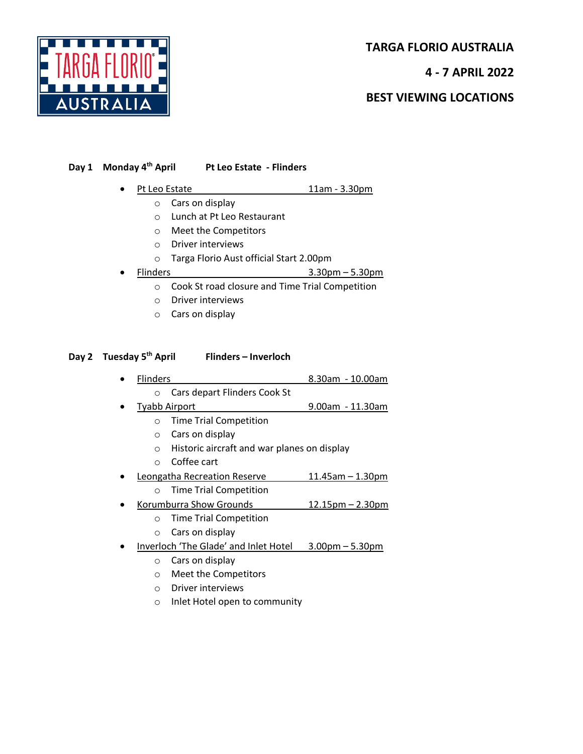

**TARGA FLORIO AUSTRALIA**

**4 - 7 APRIL 2022**

**BEST VIEWING LOCATIONS**

## **Day 1 Monday 4th April Pt Leo Estate - Flinders**

- Pt Leo Estate 11am 3.30pm
	- o Cars on display
	- o Lunch at Pt Leo Restaurant
	- o Meet the Competitors
	- o Driver interviews
	- o Targa Florio Aust official Start 2.00pm
- Flinders 3.30pm 5.30pm
	- o Cook St road closure and Time Trial Competition
	- o Driver interviews
	- o Cars on display

## **Day 2 Tuesday 5th April Flinders – Inverloch**

- Flinders 8.30am 10.00am o Cars depart Flinders Cook St
	- Tyabb Airport 9.00am 11.30am
		- o Time Trial Competition
			- o Cars on display
			- o Historic aircraft and war planes on display
			- o Coffee cart
- Leongatha Recreation Reserve 11.45am 1.30pm
	- o Time Trial Competition
- Korumburra Show Grounds 12.15pm 2.30pm
	- o Time Trial Competition
	- o Cars on display
- Inverloch 'The Glade' and Inlet Hotel 3.00pm 5.30pm
	- o Cars on display
	- o Meet the Competitors
	- o Driver interviews
	- o Inlet Hotel open to community